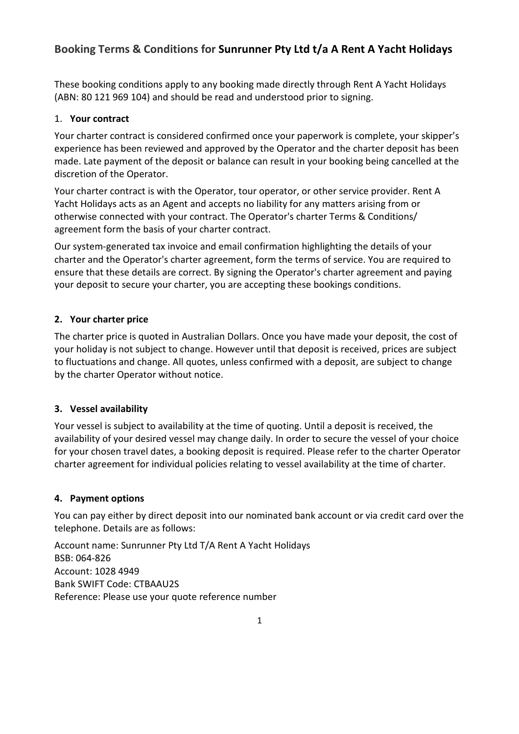# Booking Terms & Conditions for Sunrunner Pty Ltd t/a A Rent A Yacht Holidays

These booking conditions apply to any booking made directly through Rent A Yacht Holidays (ABN: 80 121 969 104) and should be read and understood prior to signing.

# 1. Your contract

Your charter contract is considered confirmed once your paperwork is complete, your skipper's experience has been reviewed and approved by the Operator and the charter deposit has been made. Late payment of the deposit or balance can result in your booking being cancelled at the discretion of the Operator.

Your charter contract is with the Operator, tour operator, or other service provider. Rent A Yacht Holidays acts as an Agent and accepts no liability for any matters arising from or otherwise connected with your contract. The Operator's charter Terms & Conditions/ agreement form the basis of your charter contract.

Our system-generated tax invoice and email confirmation highlighting the details of your charter and the Operator's charter agreement, form the terms of service. You are required to ensure that these details are correct. By signing the Operator's charter agreement and paying your deposit to secure your charter, you are accepting these bookings conditions.

# 2. Your charter price

The charter price is quoted in Australian Dollars. Once you have made your deposit, the cost of your holiday is not subject to change. However until that deposit is received, prices are subject to fluctuations and change. All quotes, unless confirmed with a deposit, are subject to change by the charter Operator without notice.

# 3. Vessel availability

Your vessel is subject to availability at the time of quoting. Until a deposit is received, the availability of your desired vessel may change daily. In order to secure the vessel of your choice for your chosen travel dates, a booking deposit is required. Please refer to the charter Operator charter agreement for individual policies relating to vessel availability at the time of charter.

# 4. Payment options

You can pay either by direct deposit into our nominated bank account or via credit card over the telephone. Details are as follows:

Account name: Sunrunner Pty Ltd T/A Rent A Yacht Holidays BSB: 064-826 Account: 1028 4949 Bank SWIFT Code: CTBAAU2S Reference: Please use your quote reference number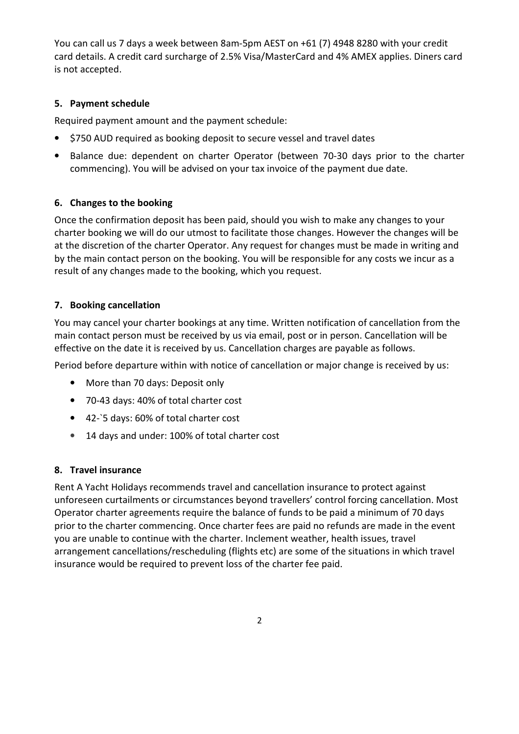You can call us 7 days a week between 8am-5pm AEST on +61 (7) 4948 8280 with your credit card details. A credit card surcharge of 2.5% Visa/MasterCard and 4% AMEX applies. Diners card is not accepted.

#### 5. Payment schedule

Required payment amount and the payment schedule:

- \$750 AUD required as booking deposit to secure vessel and travel dates
- Balance due: dependent on charter Operator (between 70-30 days prior to the charter commencing). You will be advised on your tax invoice of the payment due date.

## 6. Changes to the booking

Once the confirmation deposit has been paid, should you wish to make any changes to your charter booking we will do our utmost to facilitate those changes. However the changes will be at the discretion of the charter Operator. Any request for changes must be made in writing and by the main contact person on the booking. You will be responsible for any costs we incur as a result of any changes made to the booking, which you request.

## 7. Booking cancellation

You may cancel your charter bookings at any time. Written notification of cancellation from the main contact person must be received by us via email, post or in person. Cancellation will be effective on the date it is received by us. Cancellation charges are payable as follows.

Period before departure within with notice of cancellation or major change is received by us:

- More than 70 days: Deposit only
- 70-43 days: 40% of total charter cost
- 42-`5 days: 60% of total charter cost
- 14 days and under: 100% of total charter cost

#### 8. Travel insurance

Rent A Yacht Holidays recommends travel and cancellation insurance to protect against unforeseen curtailments or circumstances beyond travellers' control forcing cancellation. Most Operator charter agreements require the balance of funds to be paid a minimum of 70 days prior to the charter commencing. Once charter fees are paid no refunds are made in the event you are unable to continue with the charter. Inclement weather, health issues, travel arrangement cancellations/rescheduling (flights etc) are some of the situations in which travel insurance would be required to prevent loss of the charter fee paid.